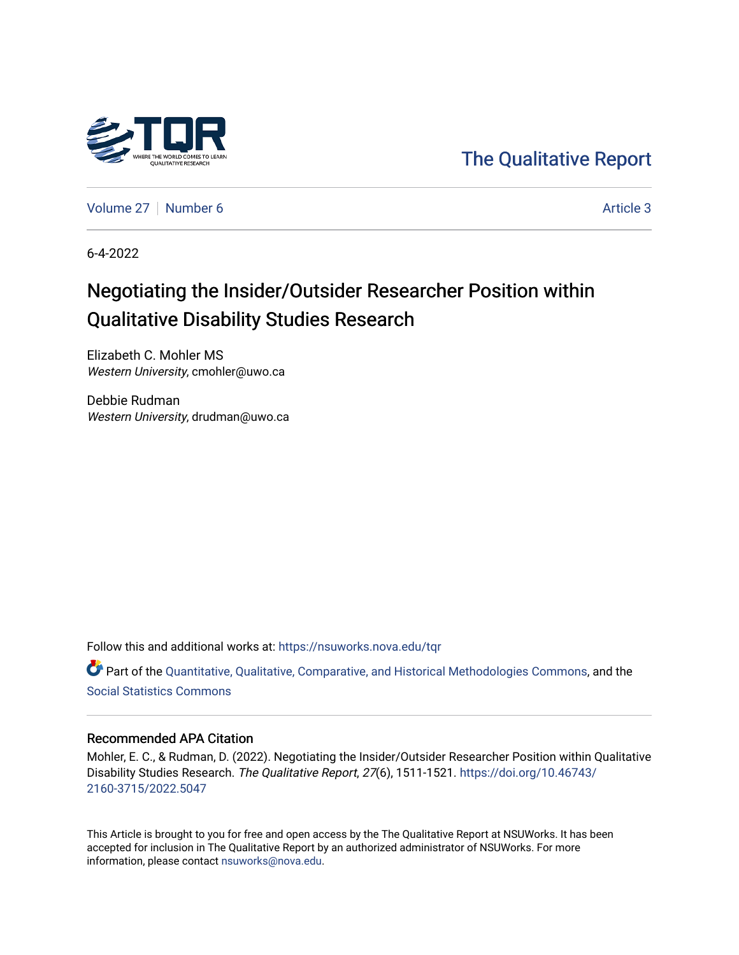

[The Qualitative Report](https://nsuworks.nova.edu/tqr) 

[Volume 27](https://nsuworks.nova.edu/tqr/vol27) | [Number 6](https://nsuworks.nova.edu/tqr/vol27/iss6) Article 3

6-4-2022

# Negotiating the Insider/Outsider Researcher Position within Qualitative Disability Studies Research

Elizabeth C. Mohler MS Western University, cmohler@uwo.ca

Debbie Rudman Western University, drudman@uwo.ca

Follow this and additional works at: [https://nsuworks.nova.edu/tqr](https://nsuworks.nova.edu/tqr?utm_source=nsuworks.nova.edu%2Ftqr%2Fvol27%2Fiss6%2F3&utm_medium=PDF&utm_campaign=PDFCoverPages) 

Part of the [Quantitative, Qualitative, Comparative, and Historical Methodologies Commons,](https://network.bepress.com/hgg/discipline/423?utm_source=nsuworks.nova.edu%2Ftqr%2Fvol27%2Fiss6%2F3&utm_medium=PDF&utm_campaign=PDFCoverPages) and the [Social Statistics Commons](https://network.bepress.com/hgg/discipline/1275?utm_source=nsuworks.nova.edu%2Ftqr%2Fvol27%2Fiss6%2F3&utm_medium=PDF&utm_campaign=PDFCoverPages) 

# Recommended APA Citation

Mohler, E. C., & Rudman, D. (2022). Negotiating the Insider/Outsider Researcher Position within Qualitative Disability Studies Research. The Qualitative Report, 27(6), 1511-1521. [https://doi.org/10.46743/](https://doi.org/10.46743/2160-3715/2022.5047) [2160-3715/2022.5047](https://doi.org/10.46743/2160-3715/2022.5047)

This Article is brought to you for free and open access by the The Qualitative Report at NSUWorks. It has been accepted for inclusion in The Qualitative Report by an authorized administrator of NSUWorks. For more information, please contact [nsuworks@nova.edu.](mailto:nsuworks@nova.edu)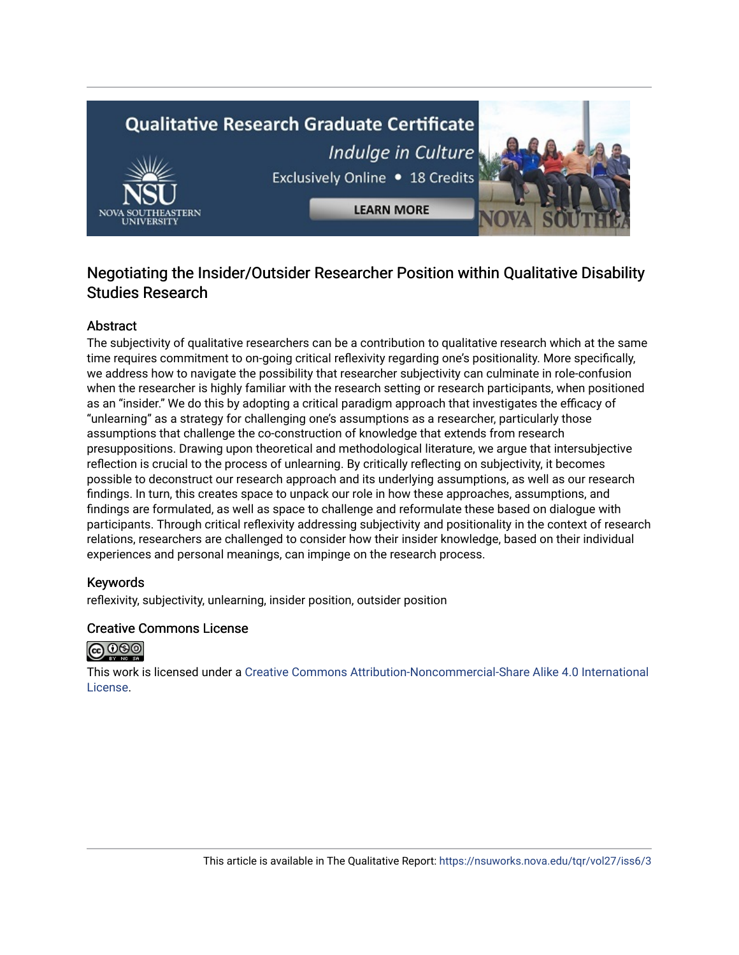# **Qualitative Research Graduate Certificate** Indulge in Culture Exclusively Online . 18 Credits

**LEARN MORE** 

# Negotiating the Insider/Outsider Researcher Position within Qualitative Disability Studies Research

# **Abstract**

The subjectivity of qualitative researchers can be a contribution to qualitative research which at the same time requires commitment to on-going critical reflexivity regarding one's positionality. More specifically, we address how to navigate the possibility that researcher subjectivity can culminate in role-confusion when the researcher is highly familiar with the research setting or research participants, when positioned as an "insider." We do this by adopting a critical paradigm approach that investigates the efficacy of "unlearning" as a strategy for challenging one's assumptions as a researcher, particularly those assumptions that challenge the co-construction of knowledge that extends from research presuppositions. Drawing upon theoretical and methodological literature, we argue that intersubjective reflection is crucial to the process of unlearning. By critically reflecting on subjectivity, it becomes possible to deconstruct our research approach and its underlying assumptions, as well as our research findings. In turn, this creates space to unpack our role in how these approaches, assumptions, and findings are formulated, as well as space to challenge and reformulate these based on dialogue with participants. Through critical reflexivity addressing subjectivity and positionality in the context of research relations, researchers are challenged to consider how their insider knowledge, based on their individual experiences and personal meanings, can impinge on the research process.

# Keywords

reflexivity, subjectivity, unlearning, insider position, outsider position

# Creative Commons License



This work is licensed under a [Creative Commons Attribution-Noncommercial-Share Alike 4.0 International](https://creativecommons.org/licenses/by-nc-sa/4.0/)  [License](https://creativecommons.org/licenses/by-nc-sa/4.0/).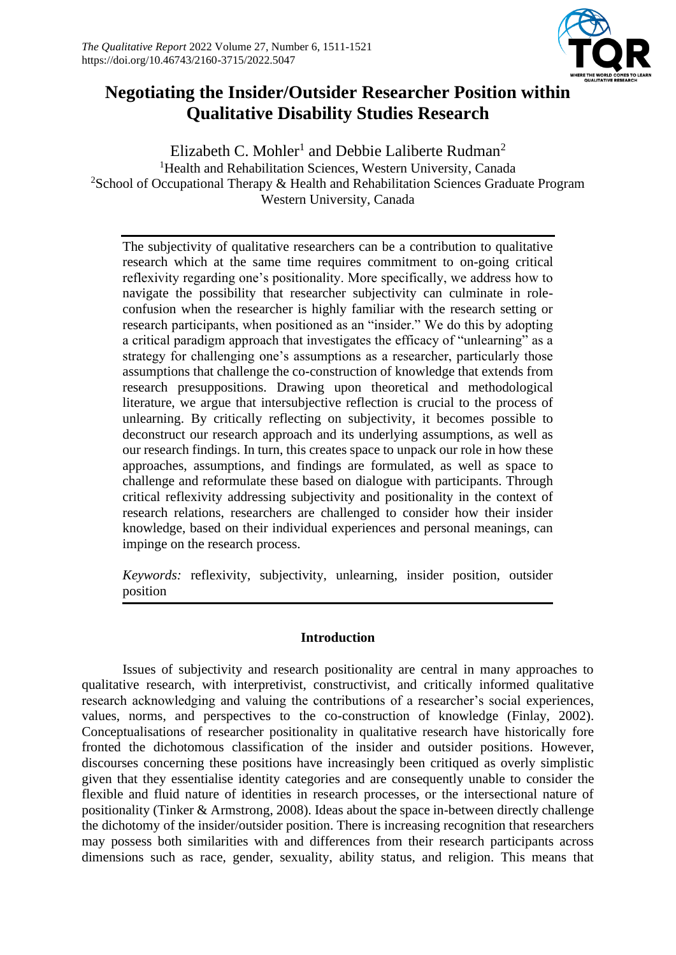

# **Negotiating the Insider/Outsider Researcher Position within Qualitative Disability Studies Research**

Elizabeth C. Mohler<sup>1</sup> and Debbie Laliberte Rudman<sup>2</sup> <sup>1</sup>Health and Rehabilitation Sciences, Western University, Canada <sup>2</sup>School of Occupational Therapy  $\&$  Health and Rehabilitation Sciences Graduate Program Western University, Canada

The subjectivity of qualitative researchers can be a contribution to qualitative research which at the same time requires commitment to on-going critical reflexivity regarding one's positionality. More specifically, we address how to navigate the possibility that researcher subjectivity can culminate in roleconfusion when the researcher is highly familiar with the research setting or research participants, when positioned as an "insider." We do this by adopting a critical paradigm approach that investigates the efficacy of "unlearning" as a strategy for challenging one's assumptions as a researcher, particularly those assumptions that challenge the co-construction of knowledge that extends from research presuppositions. Drawing upon theoretical and methodological literature, we argue that intersubjective reflection is crucial to the process of unlearning. By critically reflecting on subjectivity, it becomes possible to deconstruct our research approach and its underlying assumptions, as well as our research findings. In turn, this creates space to unpack our role in how these approaches, assumptions, and findings are formulated, as well as space to challenge and reformulate these based on dialogue with participants. Through critical reflexivity addressing subjectivity and positionality in the context of research relations, researchers are challenged to consider how their insider knowledge, based on their individual experiences and personal meanings, can impinge on the research process.

*Keywords:* reflexivity, subjectivity, unlearning, insider position, outsider position

# **Introduction**

Issues of subjectivity and research positionality are central in many approaches to qualitative research, with interpretivist, constructivist, and critically informed qualitative research acknowledging and valuing the contributions of a researcher's social experiences, values, norms, and perspectives to the co-construction of knowledge (Finlay, 2002). Conceptualisations of researcher positionality in qualitative research have historically fore fronted the dichotomous classification of the insider and outsider positions. However, discourses concerning these positions have increasingly been critiqued as overly simplistic given that they essentialise identity categories and are consequently unable to consider the flexible and fluid nature of identities in research processes, or the intersectional nature of positionality (Tinker & Armstrong, 2008). Ideas about the space in-between directly challenge the dichotomy of the insider/outsider position. There is increasing recognition that researchers may possess both similarities with and differences from their research participants across dimensions such as race, gender, sexuality, ability status, and religion. This means that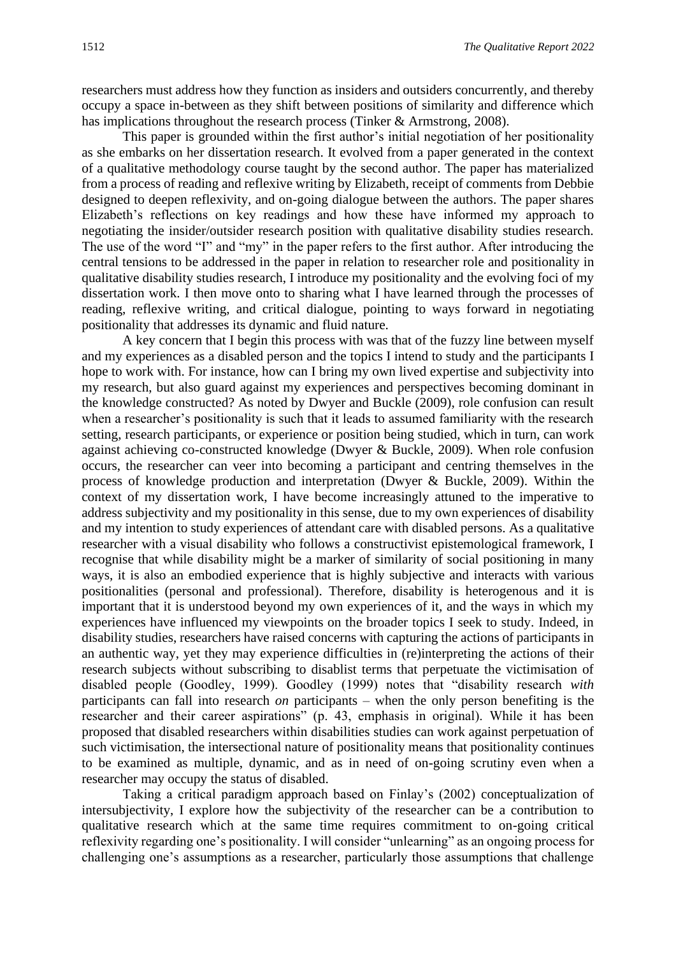researchers must address how they function as insiders and outsiders concurrently, and thereby occupy a space in-between as they shift between positions of similarity and difference which has implications throughout the research process (Tinker & Armstrong, 2008).

This paper is grounded within the first author's initial negotiation of her positionality as she embarks on her dissertation research. It evolved from a paper generated in the context of a qualitative methodology course taught by the second author. The paper has materialized from a process of reading and reflexive writing by Elizabeth, receipt of comments from Debbie designed to deepen reflexivity, and on-going dialogue between the authors. The paper shares Elizabeth's reflections on key readings and how these have informed my approach to negotiating the insider/outsider research position with qualitative disability studies research. The use of the word "I" and "my" in the paper refers to the first author. After introducing the central tensions to be addressed in the paper in relation to researcher role and positionality in qualitative disability studies research, I introduce my positionality and the evolving foci of my dissertation work. I then move onto to sharing what I have learned through the processes of reading, reflexive writing, and critical dialogue, pointing to ways forward in negotiating positionality that addresses its dynamic and fluid nature.

A key concern that I begin this process with was that of the fuzzy line between myself and my experiences as a disabled person and the topics I intend to study and the participants I hope to work with. For instance, how can I bring my own lived expertise and subjectivity into my research, but also guard against my experiences and perspectives becoming dominant in the knowledge constructed? As noted by Dwyer and Buckle (2009), role confusion can result when a researcher's positionality is such that it leads to assumed familiarity with the research setting, research participants, or experience or position being studied, which in turn, can work against achieving co-constructed knowledge (Dwyer & Buckle, 2009). When role confusion occurs, the researcher can veer into becoming a participant and centring themselves in the process of knowledge production and interpretation (Dwyer & Buckle, 2009). Within the context of my dissertation work, I have become increasingly attuned to the imperative to address subjectivity and my positionality in this sense, due to my own experiences of disability and my intention to study experiences of attendant care with disabled persons. As a qualitative researcher with a visual disability who follows a constructivist epistemological framework, I recognise that while disability might be a marker of similarity of social positioning in many ways, it is also an embodied experience that is highly subjective and interacts with various positionalities (personal and professional). Therefore, disability is heterogenous and it is important that it is understood beyond my own experiences of it, and the ways in which my experiences have influenced my viewpoints on the broader topics I seek to study. Indeed, in disability studies, researchers have raised concerns with capturing the actions of participants in an authentic way, yet they may experience difficulties in (re)interpreting the actions of their research subjects without subscribing to disablist terms that perpetuate the victimisation of disabled people (Goodley, 1999). Goodley (1999) notes that "disability research *with*  participants can fall into research *on* participants – when the only person benefiting is the researcher and their career aspirations" (p. 43, emphasis in original). While it has been proposed that disabled researchers within disabilities studies can work against perpetuation of such victimisation, the intersectional nature of positionality means that positionality continues to be examined as multiple, dynamic, and as in need of on-going scrutiny even when a researcher may occupy the status of disabled.

Taking a critical paradigm approach based on Finlay's (2002) conceptualization of intersubjectivity, I explore how the subjectivity of the researcher can be a contribution to qualitative research which at the same time requires commitment to on-going critical reflexivity regarding one's positionality. I will consider "unlearning" as an ongoing process for challenging one's assumptions as a researcher, particularly those assumptions that challenge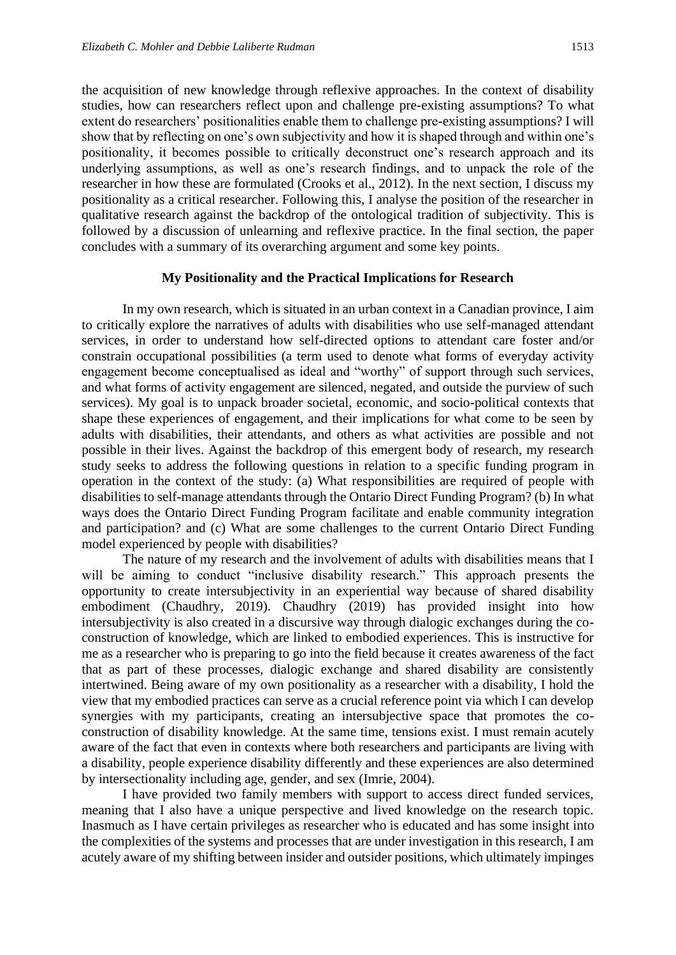the acquisition of new knowledge through reflexive approaches. In the context of disability studies, how can researchers reflect upon and challenge pre-existing assumptions? To what extent do researchers' positionalities enable them to challenge pre-existing assumptions? I will show that by reflecting on one's own subjectivity and how it is shaped through and within one's positionality, it becomes possible to critically deconstruct one's research approach and its underlying assumptions, as well as one's research findings, and to unpack the role of the researcher in how these are formulated (Crooks et al., 2012). In the next section, I discuss my positionality as a critical researcher. Following this, I analyse the position of the researcher in qualitative research against the backdrop of the ontological tradition of subjectivity. This is followed by a discussion of unlearning and reflexive practice. In the final section, the paper concludes with a summary of its overarching argument and some key points.

### **My Positionality and the Practical Implications for Research**

In my own research, which is situated in an urban context in a Canadian province, I aim to critically explore the narratives of adults with disabilities who use self-managed attendant services, in order to understand how self-directed options to attendant care foster and/or constrain occupational possibilities (a term used to denote what forms of everyday activity engagement become conceptualised as ideal and "worthy" of support through such services, and what forms of activity engagement are silenced, negated, and outside the purview of such services). My goal is to unpack broader societal, economic, and socio-political contexts that shape these experiences of engagement, and their implications for what come to be seen by adults with disabilities, their attendants, and others as what activities are possible and not possible in their lives. Against the backdrop of this emergent body of research, my research study seeks to address the following questions in relation to a specific funding program in operation in the context of the study: (a) What responsibilities are required of people with disabilities to self-manage attendants through the Ontario Direct Funding Program? (b) In what ways does the Ontario Direct Funding Program facilitate and enable community integration and participation? and (c) What are some challenges to the current Ontario Direct Funding model experienced by people with disabilities?

The nature of my research and the involvement of adults with disabilities means that I will be aiming to conduct "inclusive disability research." This approach presents the opportunity to create intersubjectivity in an experiential way because of shared disability embodiment (Chaudhry, 2019). Chaudhry (2019) has provided insight into how intersubjectivity is also created in a discursive way through dialogic exchanges during the coconstruction of knowledge, which are linked to embodied experiences. This is instructive for me as a researcher who is preparing to go into the field because it creates awareness of the fact that as part of these processes, dialogic exchange and shared disability are consistently intertwined. Being aware of my own positionality as a researcher with a disability, I hold the view that my embodied practices can serve as a crucial reference point via which I can develop synergies with my participants, creating an intersubjective space that promotes the coconstruction of disability knowledge. At the same time, tensions exist. I must remain acutely aware of the fact that even in contexts where both researchers and participants are living with a disability, people experience disability differently and these experiences are also determined by intersectionality including age, gender, and sex (Imrie, 2004).

I have provided two family members with support to access direct funded services, meaning that I also have a unique perspective and lived knowledge on the research topic. Inasmuch as I have certain privileges as researcher who is educated and has some insight into the complexities of the systems and processes that are under investigation in this research, I am acutely aware of my shifting between insider and outsider positions, which ultimately impinges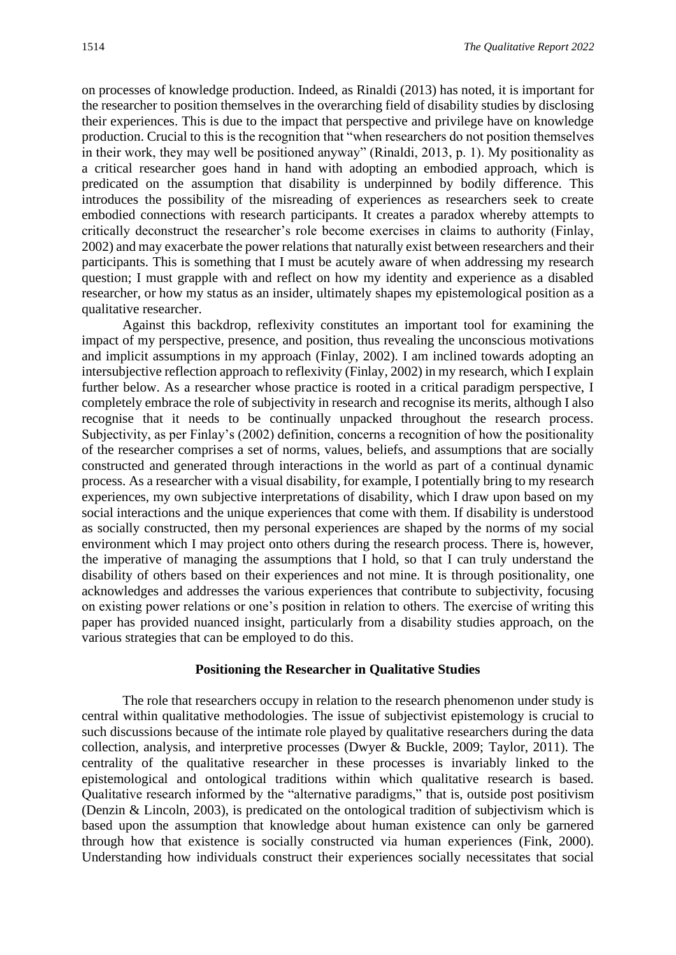on processes of knowledge production. Indeed, as Rinaldi (2013) has noted, it is important for the researcher to position themselves in the overarching field of disability studies by disclosing their experiences. This is due to the impact that perspective and privilege have on knowledge production. Crucial to this is the recognition that "when researchers do not position themselves in their work, they may well be positioned anyway" (Rinaldi, 2013, p. 1). My positionality as a critical researcher goes hand in hand with adopting an embodied approach, which is predicated on the assumption that disability is underpinned by bodily difference. This introduces the possibility of the misreading of experiences as researchers seek to create embodied connections with research participants. It creates a paradox whereby attempts to critically deconstruct the researcher's role become exercises in claims to authority (Finlay, 2002) and may exacerbate the power relations that naturally exist between researchers and their participants. This is something that I must be acutely aware of when addressing my research question; I must grapple with and reflect on how my identity and experience as a disabled researcher, or how my status as an insider, ultimately shapes my epistemological position as a qualitative researcher.

Against this backdrop, reflexivity constitutes an important tool for examining the impact of my perspective, presence, and position, thus revealing the unconscious motivations and implicit assumptions in my approach (Finlay, 2002). I am inclined towards adopting an intersubjective reflection approach to reflexivity (Finlay, 2002) in my research, which I explain further below. As a researcher whose practice is rooted in a critical paradigm perspective, I completely embrace the role of subjectivity in research and recognise its merits, although I also recognise that it needs to be continually unpacked throughout the research process. Subjectivity, as per Finlay's (2002) definition, concerns a recognition of how the positionality of the researcher comprises a set of norms, values, beliefs, and assumptions that are socially constructed and generated through interactions in the world as part of a continual dynamic process. As a researcher with a visual disability, for example, I potentially bring to my research experiences, my own subjective interpretations of disability, which I draw upon based on my social interactions and the unique experiences that come with them. If disability is understood as socially constructed, then my personal experiences are shaped by the norms of my social environment which I may project onto others during the research process. There is, however, the imperative of managing the assumptions that I hold, so that I can truly understand the disability of others based on their experiences and not mine. It is through positionality, one acknowledges and addresses the various experiences that contribute to subjectivity, focusing on existing power relations or one's position in relation to others. The exercise of writing this paper has provided nuanced insight, particularly from a disability studies approach, on the various strategies that can be employed to do this.

### **Positioning the Researcher in Qualitative Studies**

The role that researchers occupy in relation to the research phenomenon under study is central within qualitative methodologies. The issue of subjectivist epistemology is crucial to such discussions because of the intimate role played by qualitative researchers during the data collection, analysis, and interpretive processes (Dwyer & Buckle, 2009; Taylor, 2011). The centrality of the qualitative researcher in these processes is invariably linked to the epistemological and ontological traditions within which qualitative research is based. Qualitative research informed by the "alternative paradigms," that is, outside post positivism (Denzin & Lincoln, 2003), is predicated on the ontological tradition of subjectivism which is based upon the assumption that knowledge about human existence can only be garnered through how that existence is socially constructed via human experiences (Fink, 2000). Understanding how individuals construct their experiences socially necessitates that social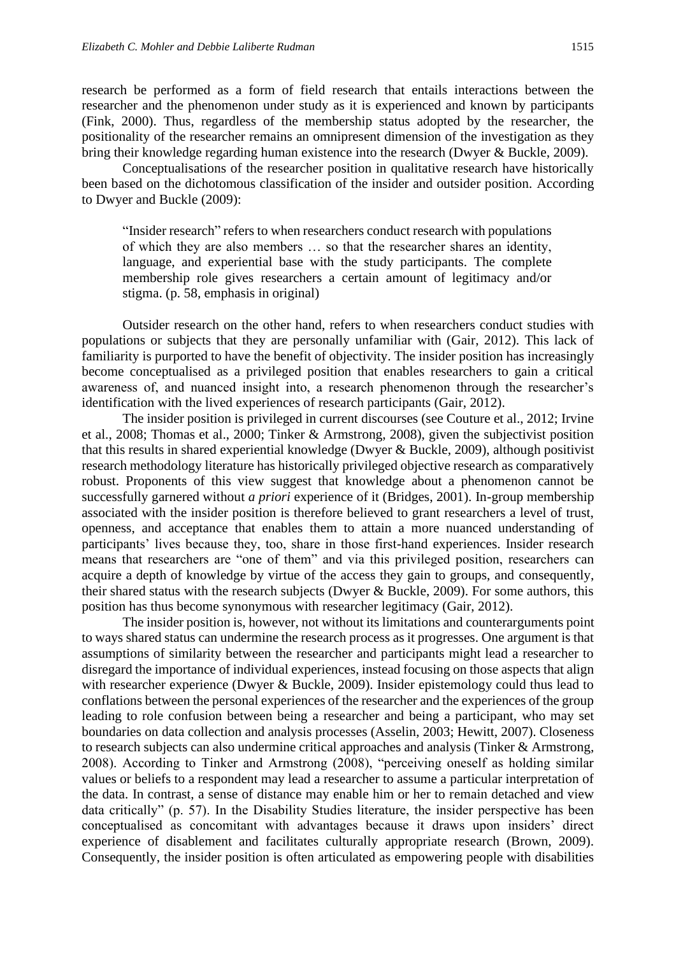research be performed as a form of field research that entails interactions between the researcher and the phenomenon under study as it is experienced and known by participants (Fink, 2000). Thus, regardless of the membership status adopted by the researcher, the positionality of the researcher remains an omnipresent dimension of the investigation as they bring their knowledge regarding human existence into the research (Dwyer & Buckle, 2009).

Conceptualisations of the researcher position in qualitative research have historically been based on the dichotomous classification of the insider and outsider position. According to Dwyer and Buckle (2009):

"Insider research" refers to when researchers conduct research with populations of which they are also members … so that the researcher shares an identity, language, and experiential base with the study participants. The complete membership role gives researchers a certain amount of legitimacy and/or stigma. (p. 58, emphasis in original)

Outsider research on the other hand, refers to when researchers conduct studies with populations or subjects that they are personally unfamiliar with (Gair, 2012). This lack of familiarity is purported to have the benefit of objectivity. The insider position has increasingly become conceptualised as a privileged position that enables researchers to gain a critical awareness of, and nuanced insight into, a research phenomenon through the researcher's identification with the lived experiences of research participants (Gair, 2012).

The insider position is privileged in current discourses (see Couture et al., 2012; Irvine et al., 2008; Thomas et al., 2000; Tinker & Armstrong, 2008), given the subjectivist position that this results in shared experiential knowledge (Dwyer & Buckle, 2009), although positivist research methodology literature has historically privileged objective research as comparatively robust. Proponents of this view suggest that knowledge about a phenomenon cannot be successfully garnered without *a priori* experience of it (Bridges, 2001). In-group membership associated with the insider position is therefore believed to grant researchers a level of trust, openness, and acceptance that enables them to attain a more nuanced understanding of participants' lives because they, too, share in those first-hand experiences. Insider research means that researchers are "one of them" and via this privileged position, researchers can acquire a depth of knowledge by virtue of the access they gain to groups, and consequently, their shared status with the research subjects (Dwyer & Buckle, 2009). For some authors, this position has thus become synonymous with researcher legitimacy (Gair, 2012).

The insider position is, however, not without its limitations and counterarguments point to ways shared status can undermine the research process as it progresses. One argument is that assumptions of similarity between the researcher and participants might lead a researcher to disregard the importance of individual experiences, instead focusing on those aspects that align with researcher experience (Dwyer & Buckle, 2009). Insider epistemology could thus lead to conflations between the personal experiences of the researcher and the experiences of the group leading to role confusion between being a researcher and being a participant, who may set boundaries on data collection and analysis processes (Asselin, 2003; Hewitt, 2007). Closeness to research subjects can also undermine critical approaches and analysis (Tinker & Armstrong, 2008). According to Tinker and Armstrong (2008), "perceiving oneself as holding similar values or beliefs to a respondent may lead a researcher to assume a particular interpretation of the data. In contrast, a sense of distance may enable him or her to remain detached and view data critically" (p. 57). In the Disability Studies literature, the insider perspective has been conceptualised as concomitant with advantages because it draws upon insiders' direct experience of disablement and facilitates culturally appropriate research (Brown, 2009). Consequently, the insider position is often articulated as empowering people with disabilities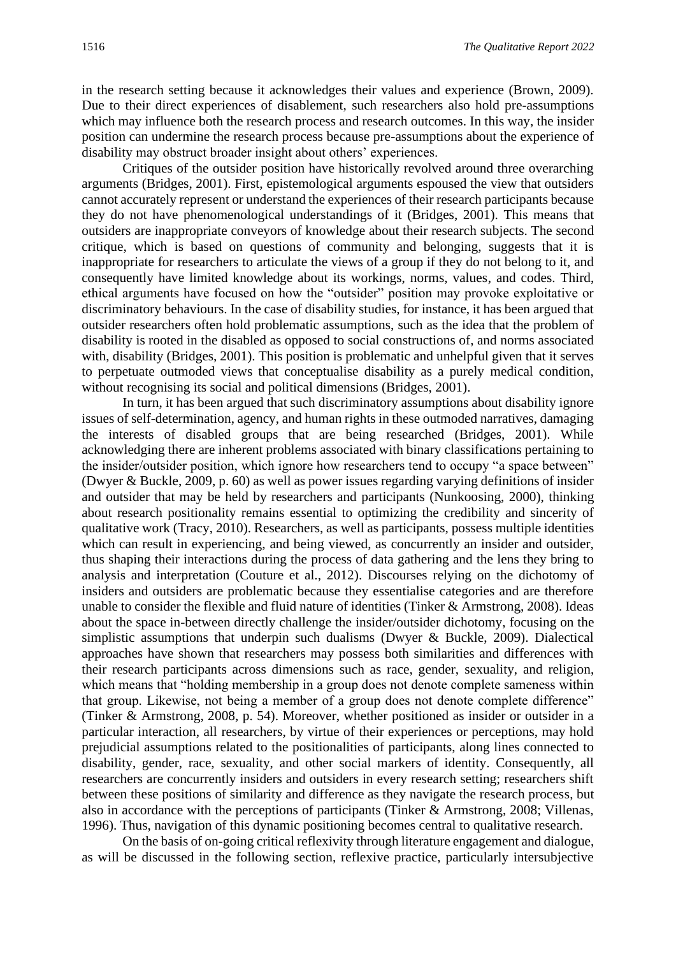in the research setting because it acknowledges their values and experience (Brown, 2009). Due to their direct experiences of disablement, such researchers also hold pre-assumptions which may influence both the research process and research outcomes. In this way, the insider position can undermine the research process because pre-assumptions about the experience of disability may obstruct broader insight about others' experiences.

Critiques of the outsider position have historically revolved around three overarching arguments (Bridges, 2001). First, epistemological arguments espoused the view that outsiders cannot accurately represent or understand the experiences of their research participants because they do not have phenomenological understandings of it (Bridges, 2001). This means that outsiders are inappropriate conveyors of knowledge about their research subjects. The second critique, which is based on questions of community and belonging, suggests that it is inappropriate for researchers to articulate the views of a group if they do not belong to it, and consequently have limited knowledge about its workings, norms, values, and codes. Third, ethical arguments have focused on how the "outsider" position may provoke exploitative or discriminatory behaviours. In the case of disability studies, for instance, it has been argued that outsider researchers often hold problematic assumptions, such as the idea that the problem of disability is rooted in the disabled as opposed to social constructions of, and norms associated with, disability (Bridges, 2001). This position is problematic and unhelpful given that it serves to perpetuate outmoded views that conceptualise disability as a purely medical condition, without recognising its social and political dimensions (Bridges, 2001).

In turn, it has been argued that such discriminatory assumptions about disability ignore issues of self-determination, agency, and human rights in these outmoded narratives, damaging the interests of disabled groups that are being researched (Bridges, 2001). While acknowledging there are inherent problems associated with binary classifications pertaining to the insider/outsider position, which ignore how researchers tend to occupy "a space between" (Dwyer & Buckle, 2009, p. 60) as well as power issues regarding varying definitions of insider and outsider that may be held by researchers and participants (Nunkoosing, 2000), thinking about research positionality remains essential to optimizing the credibility and sincerity of qualitative work (Tracy, 2010). Researchers, as well as participants, possess multiple identities which can result in experiencing, and being viewed, as concurrently an insider and outsider, thus shaping their interactions during the process of data gathering and the lens they bring to analysis and interpretation (Couture et al., 2012). Discourses relying on the dichotomy of insiders and outsiders are problematic because they essentialise categories and are therefore unable to consider the flexible and fluid nature of identities (Tinker & Armstrong, 2008). Ideas about the space in-between directly challenge the insider/outsider dichotomy, focusing on the simplistic assumptions that underpin such dualisms (Dwyer & Buckle, 2009). Dialectical approaches have shown that researchers may possess both similarities and differences with their research participants across dimensions such as race, gender, sexuality, and religion, which means that "holding membership in a group does not denote complete sameness within that group. Likewise, not being a member of a group does not denote complete difference" (Tinker & Armstrong, 2008, p. 54). Moreover, whether positioned as insider or outsider in a particular interaction, all researchers, by virtue of their experiences or perceptions, may hold prejudicial assumptions related to the positionalities of participants, along lines connected to disability, gender, race, sexuality, and other social markers of identity. Consequently, all researchers are concurrently insiders and outsiders in every research setting; researchers shift between these positions of similarity and difference as they navigate the research process, but also in accordance with the perceptions of participants (Tinker & Armstrong, 2008; Villenas, 1996). Thus, navigation of this dynamic positioning becomes central to qualitative research.

On the basis of on-going critical reflexivity through literature engagement and dialogue, as will be discussed in the following section, reflexive practice, particularly intersubjective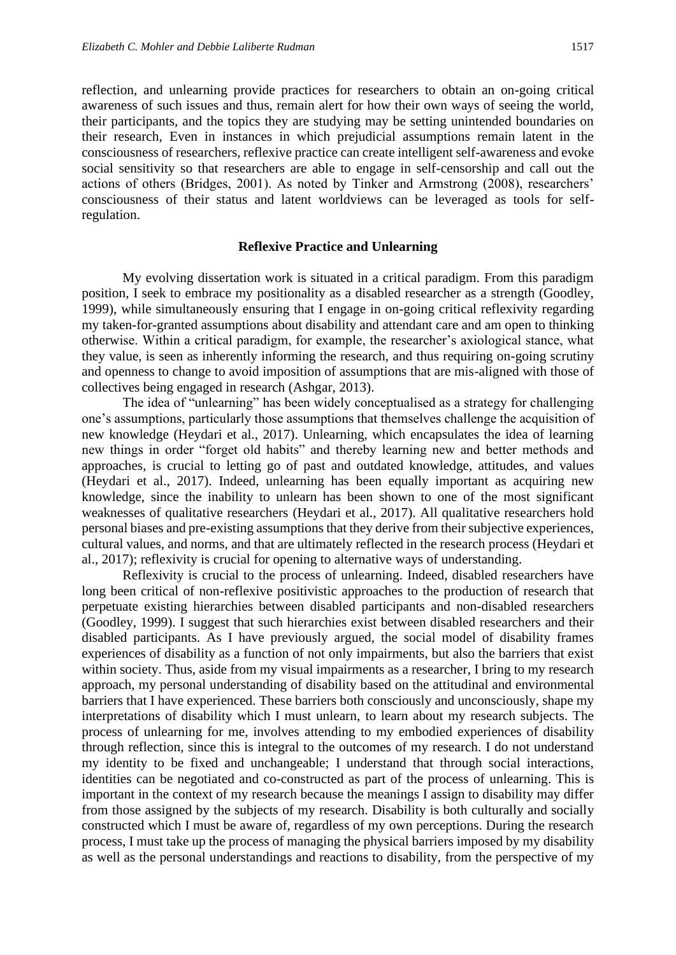regulation.

reflection, and unlearning provide practices for researchers to obtain an on-going critical awareness of such issues and thus, remain alert for how their own ways of seeing the world, their participants, and the topics they are studying may be setting unintended boundaries on their research, Even in instances in which prejudicial assumptions remain latent in the consciousness of researchers, reflexive practice can create intelligent self-awareness and evoke social sensitivity so that researchers are able to engage in self-censorship and call out the actions of others (Bridges, 2001). As noted by Tinker and Armstrong (2008), researchers'

#### **Reflexive Practice and Unlearning**

consciousness of their status and latent worldviews can be leveraged as tools for self-

My evolving dissertation work is situated in a critical paradigm. From this paradigm position, I seek to embrace my positionality as a disabled researcher as a strength (Goodley, 1999), while simultaneously ensuring that I engage in on-going critical reflexivity regarding my taken-for-granted assumptions about disability and attendant care and am open to thinking otherwise. Within a critical paradigm, for example, the researcher's axiological stance, what they value, is seen as inherently informing the research, and thus requiring on-going scrutiny and openness to change to avoid imposition of assumptions that are mis-aligned with those of collectives being engaged in research (Ashgar, 2013).

The idea of "unlearning" has been widely conceptualised as a strategy for challenging one's assumptions, particularly those assumptions that themselves challenge the acquisition of new knowledge (Heydari et al., 2017). Unlearning, which encapsulates the idea of learning new things in order "forget old habits" and thereby learning new and better methods and approaches, is crucial to letting go of past and outdated knowledge, attitudes, and values (Heydari et al., 2017). Indeed, unlearning has been equally important as acquiring new knowledge, since the inability to unlearn has been shown to one of the most significant weaknesses of qualitative researchers (Heydari et al., 2017). All qualitative researchers hold personal biases and pre-existing assumptions that they derive from their subjective experiences, cultural values, and norms, and that are ultimately reflected in the research process (Heydari et al., 2017); reflexivity is crucial for opening to alternative ways of understanding.

Reflexivity is crucial to the process of unlearning. Indeed, disabled researchers have long been critical of non-reflexive positivistic approaches to the production of research that perpetuate existing hierarchies between disabled participants and non-disabled researchers (Goodley, 1999). I suggest that such hierarchies exist between disabled researchers and their disabled participants. As I have previously argued, the social model of disability frames experiences of disability as a function of not only impairments, but also the barriers that exist within society. Thus, aside from my visual impairments as a researcher, I bring to my research approach, my personal understanding of disability based on the attitudinal and environmental barriers that I have experienced. These barriers both consciously and unconsciously, shape my interpretations of disability which I must unlearn, to learn about my research subjects. The process of unlearning for me, involves attending to my embodied experiences of disability through reflection, since this is integral to the outcomes of my research. I do not understand my identity to be fixed and unchangeable; I understand that through social interactions, identities can be negotiated and co-constructed as part of the process of unlearning. This is important in the context of my research because the meanings I assign to disability may differ from those assigned by the subjects of my research. Disability is both culturally and socially constructed which I must be aware of, regardless of my own perceptions. During the research process, I must take up the process of managing the physical barriers imposed by my disability as well as the personal understandings and reactions to disability, from the perspective of my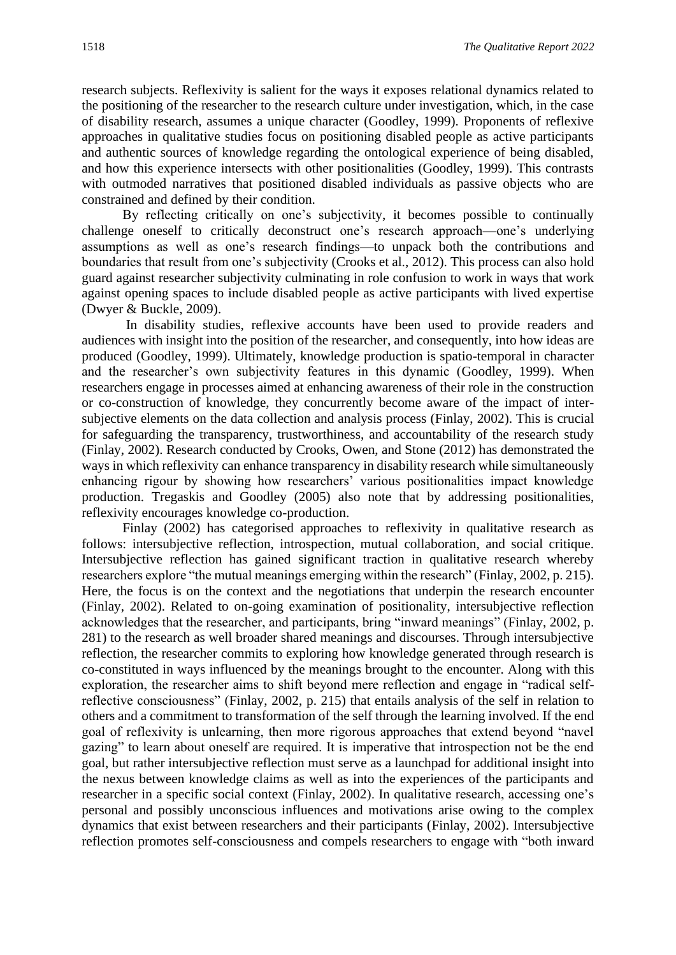research subjects. Reflexivity is salient for the ways it exposes relational dynamics related to the positioning of the researcher to the research culture under investigation, which, in the case of disability research, assumes a unique character (Goodley, 1999). Proponents of reflexive approaches in qualitative studies focus on positioning disabled people as active participants and authentic sources of knowledge regarding the ontological experience of being disabled, and how this experience intersects with other positionalities (Goodley, 1999). This contrasts with outmoded narratives that positioned disabled individuals as passive objects who are constrained and defined by their condition.

By reflecting critically on one's subjectivity, it becomes possible to continually challenge oneself to critically deconstruct one's research approach—one's underlying assumptions as well as one's research findings—to unpack both the contributions and boundaries that result from one's subjectivity (Crooks et al., 2012). This process can also hold guard against researcher subjectivity culminating in role confusion to work in ways that work against opening spaces to include disabled people as active participants with lived expertise (Dwyer & Buckle, 2009).

In disability studies, reflexive accounts have been used to provide readers and audiences with insight into the position of the researcher, and consequently, into how ideas are produced (Goodley, 1999). Ultimately, knowledge production is spatio-temporal in character and the researcher's own subjectivity features in this dynamic (Goodley, 1999). When researchers engage in processes aimed at enhancing awareness of their role in the construction or co-construction of knowledge, they concurrently become aware of the impact of intersubjective elements on the data collection and analysis process (Finlay, 2002). This is crucial for safeguarding the transparency, trustworthiness, and accountability of the research study (Finlay, 2002). Research conducted by Crooks, Owen, and Stone (2012) has demonstrated the ways in which reflexivity can enhance transparency in disability research while simultaneously enhancing rigour by showing how researchers' various positionalities impact knowledge production. Tregaskis and Goodley (2005) also note that by addressing positionalities, reflexivity encourages knowledge co-production.

Finlay (2002) has categorised approaches to reflexivity in qualitative research as follows: intersubjective reflection, introspection, mutual collaboration, and social critique. Intersubjective reflection has gained significant traction in qualitative research whereby researchers explore "the mutual meanings emerging within the research" (Finlay, 2002, p. 215). Here, the focus is on the context and the negotiations that underpin the research encounter (Finlay, 2002). Related to on-going examination of positionality, intersubjective reflection acknowledges that the researcher, and participants, bring "inward meanings" (Finlay, 2002, p. 281) to the research as well broader shared meanings and discourses. Through intersubjective reflection, the researcher commits to exploring how knowledge generated through research is co-constituted in ways influenced by the meanings brought to the encounter. Along with this exploration, the researcher aims to shift beyond mere reflection and engage in "radical selfreflective consciousness" (Finlay, 2002, p. 215) that entails analysis of the self in relation to others and a commitment to transformation of the self through the learning involved. If the end goal of reflexivity is unlearning, then more rigorous approaches that extend beyond "navel gazing" to learn about oneself are required. It is imperative that introspection not be the end goal, but rather intersubjective reflection must serve as a launchpad for additional insight into the nexus between knowledge claims as well as into the experiences of the participants and researcher in a specific social context (Finlay, 2002). In qualitative research, accessing one's personal and possibly unconscious influences and motivations arise owing to the complex dynamics that exist between researchers and their participants (Finlay, 2002). Intersubjective reflection promotes self-consciousness and compels researchers to engage with "both inward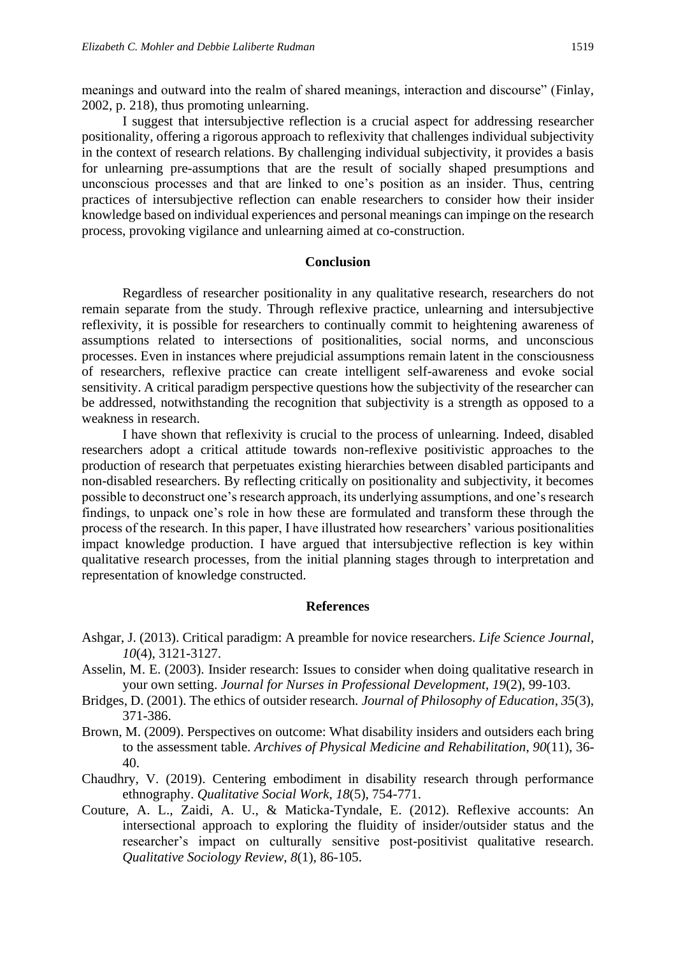meanings and outward into the realm of shared meanings, interaction and discourse" (Finlay, 2002, p. 218), thus promoting unlearning.

I suggest that intersubjective reflection is a crucial aspect for addressing researcher positionality, offering a rigorous approach to reflexivity that challenges individual subjectivity in the context of research relations. By challenging individual subjectivity, it provides a basis for unlearning pre-assumptions that are the result of socially shaped presumptions and unconscious processes and that are linked to one's position as an insider. Thus, centring practices of intersubjective reflection can enable researchers to consider how their insider knowledge based on individual experiences and personal meanings can impinge on the research process, provoking vigilance and unlearning aimed at co-construction.

#### **Conclusion**

Regardless of researcher positionality in any qualitative research, researchers do not remain separate from the study. Through reflexive practice, unlearning and intersubjective reflexivity, it is possible for researchers to continually commit to heightening awareness of assumptions related to intersections of positionalities, social norms, and unconscious processes. Even in instances where prejudicial assumptions remain latent in the consciousness of researchers, reflexive practice can create intelligent self-awareness and evoke social sensitivity. A critical paradigm perspective questions how the subjectivity of the researcher can be addressed, notwithstanding the recognition that subjectivity is a strength as opposed to a weakness in research.

I have shown that reflexivity is crucial to the process of unlearning. Indeed, disabled researchers adopt a critical attitude towards non-reflexive positivistic approaches to the production of research that perpetuates existing hierarchies between disabled participants and non-disabled researchers. By reflecting critically on positionality and subjectivity, it becomes possible to deconstruct one's research approach, its underlying assumptions, and one's research findings, to unpack one's role in how these are formulated and transform these through the process of the research. In this paper, I have illustrated how researchers' various positionalities impact knowledge production. I have argued that intersubjective reflection is key within qualitative research processes, from the initial planning stages through to interpretation and representation of knowledge constructed.

## **References**

- Ashgar, J. (2013). Critical paradigm: A preamble for novice researchers. *Life Science Journal*, *10*(4), 3121-3127.
- Asselin, M. E. (2003). Insider research: Issues to consider when doing qualitative research in your own setting. *Journal for Nurses in Professional Development*, *19*(2), 99-103.
- Bridges, D. (2001). The ethics of outsider research. *Journal of Philosophy of Education*, *35*(3), 371-386.
- Brown, M. (2009). Perspectives on outcome: What disability insiders and outsiders each bring to the assessment table. *Archives of Physical Medicine and Rehabilitation*, *90*(11), 36- 40.
- Chaudhry, V. (2019). Centering embodiment in disability research through performance ethnography. *Qualitative Social Work*, *18*(5), 754-771.
- Couture, A. L., Zaidi, A. U., & Maticka-Tyndale, E. (2012). Reflexive accounts: An intersectional approach to exploring the fluidity of insider/outsider status and the researcher's impact on culturally sensitive post-positivist qualitative research. *Qualitative Sociology Review*, *8*(1), 86-105.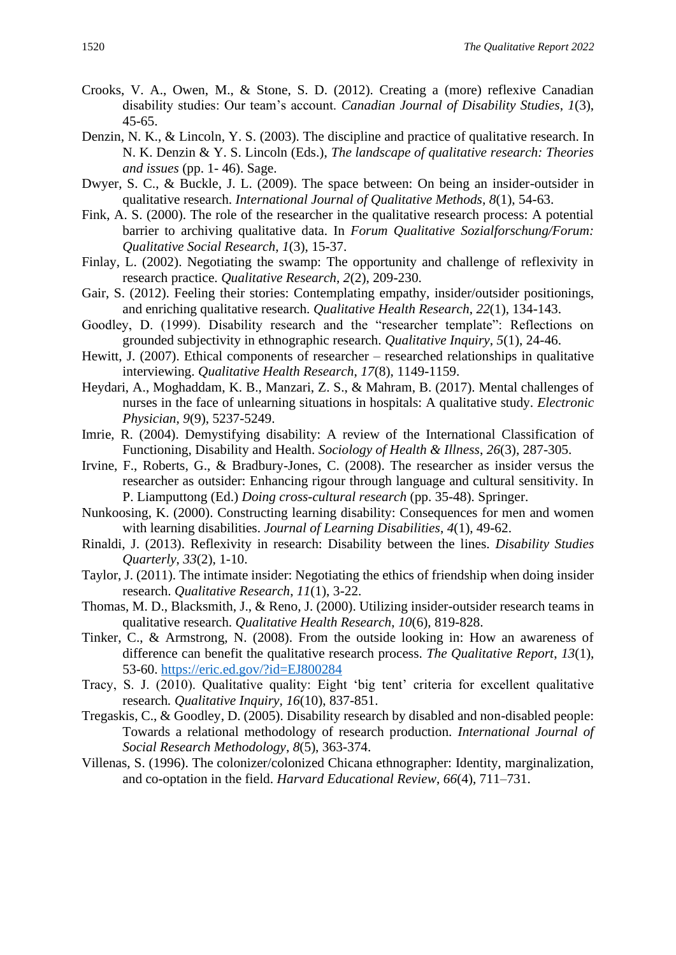- Crooks, V. A., Owen, M., & Stone, S. D. (2012). Creating a (more) reflexive Canadian disability studies: Our team's account. *Canadian Journal of Disability Studies*, *1*(3), 45-65.
- Denzin, N. K., & Lincoln, Y. S. (2003). The discipline and practice of qualitative research. In N. K. Denzin & Y. S. Lincoln (Eds.), *The landscape of qualitative research: Theories and issues* (pp. 1- 46). Sage.
- Dwyer, S. C., & Buckle, J. L. (2009). The space between: On being an insider-outsider in qualitative research. *International Journal of Qualitative Methods*, *8*(1), 54-63.
- Fink, A. S. (2000). The role of the researcher in the qualitative research process: A potential barrier to archiving qualitative data. In *Forum Qualitative Sozialforschung/Forum: Qualitative Social Research*, *1*(3), 15-37.
- Finlay, L. (2002). Negotiating the swamp: The opportunity and challenge of reflexivity in research practice. *Qualitative Research*, *2*(2), 209-230.
- Gair, S. (2012). Feeling their stories: Contemplating empathy, insider/outsider positionings, and enriching qualitative research. *Qualitative Health Research*, *22*(1), 134-143.
- Goodley, D. (1999). Disability research and the "researcher template": Reflections on grounded subjectivity in ethnographic research. *Qualitative Inquiry*, *5*(1), 24-46.
- Hewitt, J. (2007). Ethical components of researcher researched relationships in qualitative interviewing. *Qualitative Health Research*, *17*(8), 1149-1159.
- Heydari, A., Moghaddam, K. B., Manzari, Z. S., & Mahram, B. (2017). Mental challenges of nurses in the face of unlearning situations in hospitals: A qualitative study. *Electronic Physician*, *9*(9), 5237-5249.
- Imrie, R. (2004). Demystifying disability: A review of the International Classification of Functioning, Disability and Health. *Sociology of Health & Illness*, *26*(3), 287-305.
- Irvine, F., Roberts, G., & Bradbury-Jones, C. (2008). The researcher as insider versus the researcher as outsider: Enhancing rigour through language and cultural sensitivity. In P. Liamputtong (Ed.) *Doing cross-cultural research* (pp. 35-48). Springer.
- Nunkoosing, K. (2000). Constructing learning disability: Consequences for men and women with learning disabilities. *Journal of Learning Disabilities*, *4*(1), 49-62.
- Rinaldi, J. (2013). Reflexivity in research: Disability between the lines. *Disability Studies Quarterly*, *33*(2), 1-10.
- Taylor, J. (2011). The intimate insider: Negotiating the ethics of friendship when doing insider research. *Qualitative Research*, *11*(1), 3-22.
- Thomas, M. D., Blacksmith, J., & Reno, J. (2000). Utilizing insider-outsider research teams in qualitative research. *Qualitative Health Research*, *10*(6), 819-828.
- Tinker, C., & Armstrong, N. (2008). From the outside looking in: How an awareness of difference can benefit the qualitative research process. *The Qualitative Report*, *13*(1), 53-60.<https://eric.ed.gov/?id=EJ800284>
- Tracy, S. J. (2010). Qualitative quality: Eight 'big tent' criteria for excellent qualitative research*. Qualitative Inquiry, 16*(10), 837-851.
- Tregaskis, C., & Goodley, D. (2005). Disability research by disabled and non-disabled people: Towards a relational methodology of research production. *International Journal of Social Research Methodology*, *8*(5), 363-374.
- Villenas, S. (1996). The colonizer/colonized Chicana ethnographer: Identity, marginalization, and co-optation in the field. *Harvard Educational Review*, *66*(4), 711–731.